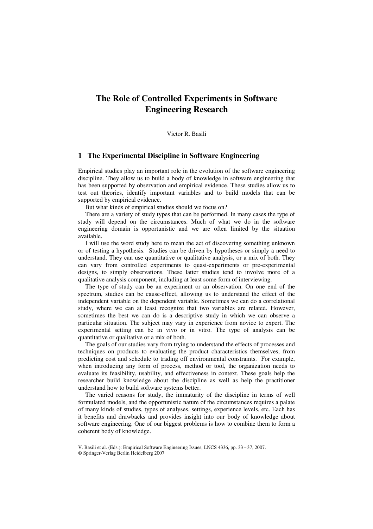# **The Role of Controlled Experiments in Software Engineering Research**

Victor R. Basili

### **1 The Experimental Discipline in Software Engineering**

Empirical studies play an important role in the evolution of the software engineering discipline. They allow us to build a body of knowledge in software engineering that has been supported by observation and empirical evidence. These studies allow us to test out theories, identify important variables and to build models that can be supported by empirical evidence.

But what kinds of empirical studies should we focus on?

There are a variety of study types that can be performed. In many cases the type of study will depend on the circumstances. Much of what we do in the software engineering domain is opportunistic and we are often limited by the situation available.

I will use the word study here to mean the act of discovering something unknown or of testing a hypothesis. Studies can be driven by hypotheses or simply a need to understand. They can use quantitative or qualitative analysis, or a mix of both. They can vary from controlled experiments to quasi-experiments or pre-experimental designs, to simply observations. These latter studies tend to involve more of a qualitative analysis component, including at least some form of interviewing.

The type of study can be an experiment or an observation. On one end of the spectrum, studies can be cause-effect, allowing us to understand the effect of the independent variable on the dependent variable. Sometimes we can do a correlational study, where we can at least recognize that two variables are related. However, sometimes the best we can do is a descriptive study in which we can observe a particular situation. The subject may vary in experience from novice to expert. The experimental setting can be in vivo or in vitro. The type of analysis can be quantitative or qualitative or a mix of both.

The goals of our studies vary from trying to understand the effects of processes and techniques on products to evaluating the product characteristics themselves, from predicting cost and schedule to trading off environmental constraints. For example, when introducing any form of process, method or tool, the organization needs to evaluate its feasibility, usability, and effectiveness in context. These goals help the researcher build knowledge about the discipline as well as help the practitioner understand how to build software systems better.

The varied reasons for study, the immaturity of the discipline in terms of well formulated models, and the opportunistic nature of the circumstances requires a palate of many kinds of studies, types of analyses, settings, experience levels, etc. Each has it benefits and drawbacks and provides insight into our body of knowledge about software engineering. One of our biggest problems is how to combine them to form a coherent body of knowledge.

V. Basili et al. (Eds.): Empirical Software Engineering Issues, LNCS 4336, pp. 33 – 37, 2007.

<sup>©</sup> Springer-Verlag Berlin Heidelberg 2007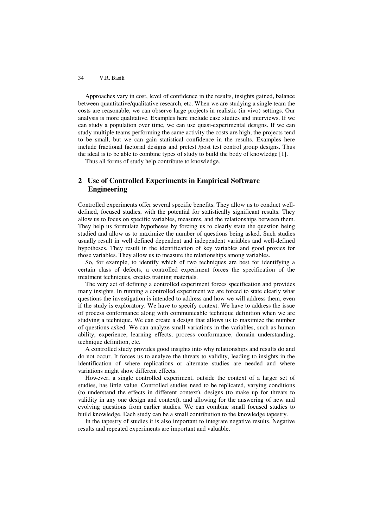#### 34 V.R. Basili

Approaches vary in cost, level of confidence in the results, insights gained, balance between quantitative/qualitative research, etc. When we are studying a single team the costs are reasonable, we can observe large projects in realistic (in vivo) settings. Our analysis is more qualitative. Examples here include case studies and interviews. If we can study a population over time, we can use quasi-experimental designs. If we can study multiple teams performing the same activity the costs are high, the projects tend to be small, but we can gain statistical confidence in the results. Examples here include fractional factorial designs and pretest /post test control group designs. Thus the ideal is to be able to combine types of study to build the body of knowledge [1].

Thus all forms of study help contribute to knowledge.

# **2 Use of Controlled Experiments in Empirical Software Engineering**

Controlled experiments offer several specific benefits. They allow us to conduct welldefined, focused studies, with the potential for statistically significant results. They allow us to focus on specific variables, measures, and the relationships between them. They help us formulate hypotheses by forcing us to clearly state the question being studied and allow us to maximize the number of questions being asked. Such studies usually result in well defined dependent and independent variables and well-defined hypotheses. They result in the identification of key variables and good proxies for those variables. They allow us to measure the relationships among variables.

So, for example, to identify which of two techniques are best for identifying a certain class of defects, a controlled experiment forces the specification of the treatment techniques, creates training materials.

The very act of defining a controlled experiment forces specification and provides many insights. In running a controlled experiment we are forced to state clearly what questions the investigation is intended to address and how we will address them, even if the study is exploratory. We have to specify context. We have to address the issue of process conformance along with communicable technique definition when we are studying a technique. We can create a design that allows us to maximize the number of questions asked. We can analyze small variations in the variables, such as human ability, experience, learning effects, process conformance, domain understanding, technique definition, etc.

A controlled study provides good insights into why relationships and results do and do not occur. It forces us to analyze the threats to validity, leading to insights in the identification of where replications or alternate studies are needed and where variations might show different effects.

However, a single controlled experiment, outside the context of a larger set of studies, has little value. Controlled studies need to be replicated, varying conditions (to understand the effects in different context), designs (to make up for threats to validity in any one design and context), and allowing for the answering of new and evolving questions from earlier studies. We can combine small focused studies to build knowledge. Each study can be a small contribution to the knowledge tapestry.

In the tapestry of studies it is also important to integrate negative results. Negative results and repeated experiments are important and valuable.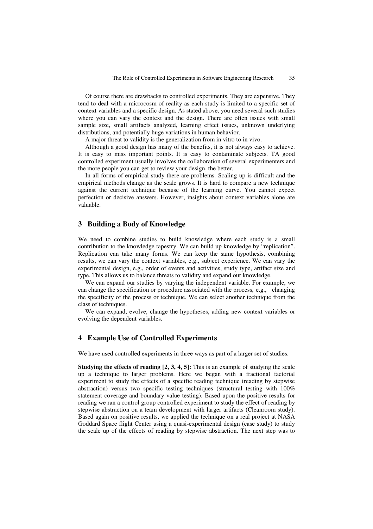Of course there are drawbacks to controlled experiments. They are expensive. They tend to deal with a microcosm of reality as each study is limited to a specific set of context variables and a specific design. As stated above, you need several such studies where you can vary the context and the design. There are often issues with small sample size, small artifacts analyzed, learning effect issues, unknown underlying distributions, and potentially huge variations in human behavior.

A major threat to validity is the generalization from in vitro to in vivo.

Although a good design has many of the benefits, it is not always easy to achieve. It is easy to miss important points. It is easy to contaminate subjects. TA good controlled experiment usually involves the collaboration of several experimenters and the more people you can get to review your design, the better.

In all forms of empirical study there are problems. Scaling up is difficult and the empirical methods change as the scale grows. It is hard to compare a new technique against the current technique because of the learning curve. You cannot expect perfection or decisive answers. However, insights about context variables alone are valuable.

## **3 Building a Body of Knowledge**

We need to combine studies to build knowledge where each study is a small contribution to the knowledge tapestry. We can build up knowledge by "replication". Replication can take many forms. We can keep the same hypothesis, combining results, we can vary the context variables, e.g., subject experience. We can vary the experimental design, e.g., order of events and activities, study type, artifact size and type. This allows us to balance threats to validity and expand our knowledge.

We can expand our studies by varying the independent variable. For example, we can change the specification or procedure associated with the process, e.g., changing the specificity of the process or technique. We can select another technique from the class of techniques.

We can expand, evolve, change the hypotheses, adding new context variables or evolving the dependent variables.

#### **4 Example Use of Controlled Experiments**

We have used controlled experiments in three ways as part of a larger set of studies.

**Studying the effects of reading [2, 3, 4, 5]:** This is an example of studying the scale up a technique to larger problems. Here we began with a fractional factorial experiment to study the effects of a specific reading technique (reading by stepwise abstraction) versus two specific testing techniques (structural testing with 100% statement coverage and boundary value testing). Based upon the positive results for reading we ran a control group controlled experiment to study the effect of reading by stepwise abstraction on a team development with larger artifacts (Cleanroom study). Based again on positive results, we applied the technique on a real project at NASA Goddard Space flight Center using a quasi-experimental design (case study) to study the scale up of the effects of reading by stepwise abstraction. The next step was to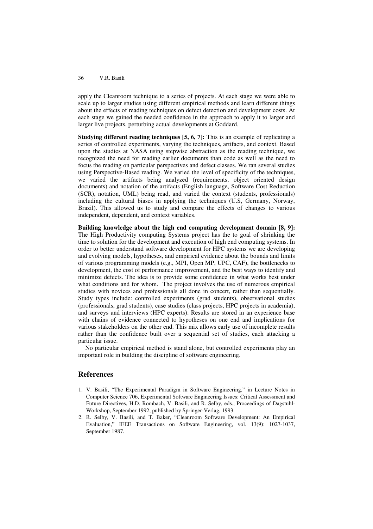#### 36 V.R. Basili

apply the Cleanroom technique to a series of projects. At each stage we were able to scale up to larger studies using different empirical methods and learn different things about the effects of reading techniques on defect detection and development costs. At each stage we gained the needed confidence in the approach to apply it to larger and larger live projects, perturbing actual developments at Goddard.

**Studying different reading techniques [5, 6, 7]:** This is an example of replicating a series of controlled experiments, varying the techniques, artifacts, and context. Based upon the studies at NASA using stepwise abstraction as the reading technique, we recognized the need for reading earlier documents than code as well as the need to focus the reading on particular perspectives and defect classes. We ran several studies using Perspective-Based reading. We varied the level of specificity of the techniques, we varied the artifacts being analyzed (requirements, object oriented design documents) and notation of the artifacts (English language, Software Cost Reduction (SCR), notation, UML) being read, and varied the context (students, professionals) including the cultural biases in applying the techniques (U.S, Germany, Norway, Brazil). This allowed us to study and compare the effects of changes to various independent, dependent, and context variables.

**Building knowledge about the high end computing development domain [8, 9]:** The High Productivity computing Systems project has the to goal of shrinking the time to solution for the development and execution of high end computing systems. In order to better understand software development for HPC systems we are developing and evolving models, hypotheses, and empirical evidence about the bounds and limits of various programming models (e.g., MPI, Open MP, UPC, CAF), the bottlenecks to development, the cost of performance improvement, and the best ways to identify and minimize defects. The idea is to provide some confidence in what works best under what conditions and for whom. The project involves the use of numerous empirical studies with novices and professionals all done in concert, rather than sequentially. Study types include: controlled experiments (grad students), observational studies (professionals, grad students), case studies (class projects, HPC projects in academia), and surveys and interviews (HPC experts). Results are stored in an experience base with chains of evidence connected to hypotheses on one end and implications for various stakeholders on the other end. This mix allows early use of incomplete results rather than the confidence built over a sequential set of studies, each attacking a particular issue.

No particular empirical method is stand alone, but controlled experiments play an important role in building the discipline of software engineering.

## **References**

- 1. V. Basili, "The Experimental Paradigm in Software Engineering," in Lecture Notes in Computer Science 706, Experimental Software Engineering Issues: Critical Assessment and Future Directives, H.D. Rombach, V. Basili, and R. Selby, eds., Proceedings of Dagstuhl-Workshop, September 1992, published by Springer-Verlag, 1993.
- 2. R. Selby, V. Basili, and T. Baker, "Cleanroom Software Development: An Empirical Evaluation," IEEE Transactions on Software Engineering, vol. 13(9): 1027-1037, September 1987.